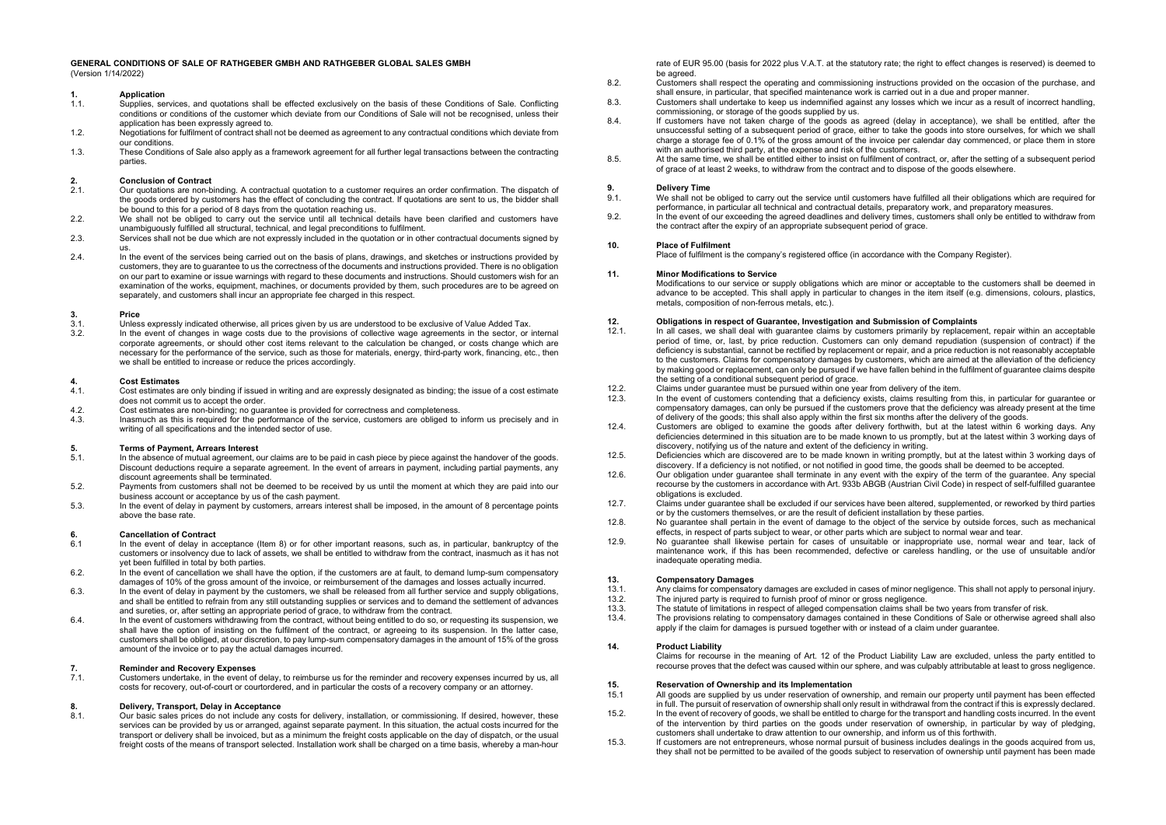#### **GENERAL CONDITIONS OF SALE OF RATHGEBER GMBH AND RATHGEBER GLOBAL SALES GMBH** (Version 1/14/2022)

# **1. Application**<br>11 **Supplies** set

- 1.1. Supplies, services, and quotations shall be effected exclusively on the basis of these Conditions of Sale. Conflicting conditions or conditions of the customer which deviate from our Conditions of Sale will not be recognised, unless their application has been expressly agreed to.
- 1.2. Negotiations for fulfilment of contract shall not be deemed as agreement to any contractual conditions which deviate from our conditions.
- 1.3. These Conditions of Sale also apply as a framework agreement for all further legal transactions between the contracting parties.

### **2. Conclusion of Contract**

- 2.1. Our quotations are non-binding. A contractual quotation to a customer requires an order confirmation. The dispatch of the goods ordered by customers has the effect of concluding the contract. If quotations are sent to us, the bidder shall be bound to this for a period of 8 days from the quotation reaching us.
- 2.2. We shall not be obliged to carry out the service until all technical details have been clarified and customers have unambiguously fulfilled all structural, technical, and legal preconditions to fulfilment.
- 2.3. Services shall not be due which are not expressly included in the quotation or in other contractual documents signed by
- us. 2.4. In the event of the services being carried out on the basis of plans, drawings, and sketches or instructions provided by customers, they are to guarantee to us the correctness of the documents and instructions provided. There is no obligation on our part to examine or issue warnings with regard to these documents and instructions. Should customers wish for an examination of the works, equipment, machines, or documents provided by them, such procedures are to be agreed on separately, and customers shall incur an appropriate fee charged in this respect.

# **3.** Price **Price 3.1.** Unles

- 3.1. Unless expressly indicated otherwise, all prices given by us are understood to be exclusive of Value Added Tax.<br>3.2 In the event of changes in wage costs due to the provisions of collective wage agreements in the sect
- 3.2. In the event of changes in wage costs due to the provisions of collective wage agreements in the sector, or internal corporate agreements, or should other cost items relevant to the calculation be changed, or costs change which are necessary for the performance of the service, such as those for materials, energy, third-party work, financing, etc., then we shall be entitled to increase or reduce the prices accordingly.

# **4. Cost Estimates**

- Cost estimates are only binding if issued in writing and are expressly designated as binding; the issue of a cost estimate does not commit us to accept the order.
- 4.2. Cost estimates are non-binding; no guarantee is provided for correctness and completeness.<br>4.3. Inasmuch as this is required for the performance of the service, customers are obliged to
- Inasmuch as this is required for the performance of the service, customers are obliged to inform us precisely and in writing of all specifications and the intended sector of use.

### **5. Terms of Payment, Arrears Interest**

- In the absence of mutual agreement, our claims are to be paid in cash piece by piece against the handover of the goods. Discount deductions require a separate agreement. In the event of arrears in payment, including partial payments, any discount agreements shall be terminated.
- 5.2. Payments from customers shall not be deemed to be received by us until the moment at which they are paid into our business account or acceptance by us of the cash payment.
- 5.3. In the event of delay in payment by customers, arrears interest shall be imposed, in the amount of 8 percentage points above the base rate.

# **6. Cancellation of Contract 6.1 In the event of delay in a**

- In the event of delay in acceptance (Item 8) or for other important reasons, such as, in particular, bankruptcy of the customers or insolvency due to lack of assets, we shall be entitled to withdraw from the contract, inasmuch as it has not yet been fulfilled in total by both parties.
- 6.2. In the event of cancellation we shall have the option, if the customers are at fault, to demand lump-sum compensatory damages of 10% of the gross amount of the invoice, or reimbursement of the damages and losses actually incurred.
- 6.3. In the event of delay in payment by the customers, we shall be released from all further service and supply obligations, and shall be entitled to refrain from any still outstanding supplies or services and to demand the settlement of advances and sureties, or, after setting an appropriate period of grace, to withdraw from the contract.
- 6.4. In the event of customers withdrawing from the contract, without being entitled to do so, or requesting its suspension, we shall have the option of insisting on the fulfilment of the contract, or agreeing to its suspension. In the latter case, customers shall be obliged, at our discretion, to pay lump-sum compensatory damages in the amount of 15% of the gross amount of the invoice or to pay the actual damages incurred.

### **7. Reminder and Recovery Expenses**

7.1. Customers undertake, in the event of delay, to reimburse us for the reminder and recovery expenses incurred by us, all costs for recovery, out-of-court or courtordered, and in particular the costs of a recovery company or an attorney.

# **8. Delivery, Transport, Delay in Acceptance**

8.1. Our basic sales prices do not include any costs for delivery, installation, or commissioning. If desired, however, these services can be provided by us or arranged, against separate payment. In this situation, the actual costs incurred for the transport or delivery shall be invoiced, but as a minimum the freight costs applicable on the day of dispatch, or the usual freight costs of the means of transport selected. Installation work shall be charged on a time basis, whereby a man-hour rate of EUR 95.00 (basis for 2022 plus V.A.T. at the statutory rate; the right to effect changes is reserved) is deemed to be agreed.

- 8.2. Customers shall respect the operating and commissioning instructions provided on the occasion of the purchase, and shall ensure, in particular, that specified maintenance work is carried out in a due and proper manner.
- 8.3. Customers shall undertake to keep us indemnified against any losses which we incur as a result of incorrect handling, commissioning, or storage of the goods supplied by us.
- 8.4. If customers have not taken charge of the goods as agreed (delay in acceptance), we shall be entitled, after the unsuccessful setting of a subsequent period of grace, either to take the goods into store ourselves, for which we shall charge a storage fee of 0.1% of the gross amount of the invoice per calendar day commenced, or place them in store with an authorised third party, at the expense and risk of the customers.
- 8.5. At the same time, we shall be entitled either to insist on fulfilment of contract, or, after the setting of a subsequent period of grace of at least 2 weeks, to withdraw from the contract and to dispose of the goods elsewhere.

# **9.** Delivery Time<br> **9.1.** We shall not be

- 9.1. We shall not be obliged to carry out the service until customers have fulfilled all their obligations which are required for performance, in particular all technical and contractual details, preparatory work, and preparatory measures.
- 9.2. In the event of our exceeding the agreed deadlines and delivery times, customers shall only be entitled to withdraw from the contract after the expiry of an appropriate subsequent period of grace.

#### **10. Place of Fulfilment**

Place of fulfilment is the company's registered office (in accordance with the Company Register).

#### **11. Minor Modifications to Service**

Modifications to our service or supply obligations which are minor or acceptable to the customers shall be deemed in advance to be accepted. This shall apply in particular to changes in the item itself (e.g. dimensions, colours, plastics, metals, composition of non-ferrous metals, etc.).

### **12. Obligations in respect of Guarantee, Investigation and Submission of Complaints**

- In all cases, we shall deal with guarantee claims by customers primarily by replacement, repair within an acceptable period of time, or, last, by price reduction. Customers can only demand repudiation (suspension of contract) if the deficiency is substantial, cannot be rectified by replacement or repair, and a price reduction is not reasonably acceptable to the customers. Claims for compensatory damages by customers, which are aimed at the alleviation of the deficiency by making good or replacement, can only be pursued if we have fallen behind in the fulfilment of guarantee claims despite the setting of a conditional subsequent period of grace.
- 12.2. Claims under guarantee must be pursued within one year from delivery of the item.<br>12.3 In the event of customers contending that a deficiency exists claims resulting from
- In the event of customers contending that a deficiency exists, claims resulting from this, in particular for guarantee or compensatory damages, can only be pursued if the customers prove that the deficiency was already present at the time of delivery of the goods; this shall also apply within the first six months after the delivery of the goods.
- 12.4. Customers are obliged to examine the goods after delivery forthwith, but at the latest within 6 working days. Any deficiencies determined in this situation are to be made known to us promptly, but at the latest within 3 working days of discovery, notifying us of the nature and extent of the deficiency in writing.
- 12.5. Deficiencies which are discovered are to be made known in writing promptly, but at the latest within 3 working days of discovery. If a deficiency is not notified, or not notified in good time, the goods shall be deemed to be accepted.
- 12.6. Our obligation under guarantee shall terminate in any event with the expiry of the term of the guarantee. Any special recourse by the customers in accordance with Art. 933b ABGB (Austrian Civil Code) in respect of self-fulfilled guarantee obligations is excluded.
- 12.7. Claims under guarantee shall be excluded if our services have been altered, supplemented, or reworked by third parties or by the customers themselves, or are the result of deficient installation by these parties.
- 12.8. No guarantee shall pertain in the event of damage to the object of the service by outside forces, such as mechanical effects, in respect of parts subject to wear, or other parts which are subject to normal wear and tear.
- 12.9. No guarantee shall likewise pertain for cases of unsuitable or inappropriate use, normal wear and tear, lack of maintenance work, if this has been recommended, defective or careless handling, or the use of unsuitable and/or inadequate operating media.

# **13. Compensatory Damages**

- 13.1. Any claims for compensatory damages are excluded in cases of minor negligence. This shall not apply to personal injury.<br>13.2. The injured party is required to furnish proof of minor or gross negligence.
- 13.2. The injured party is required to furnish proof of minor or gross negligence.
- 13.3. The statute of limitations in respect of alleged compensation claims shall be two years from transfer of risk.<br>13.4 The provisions relating to compensatory damages contained in these Conditions of Sale or otherwise a
- 13.4. The provisions relating to compensatory damages contained in these Conditions of Sale or otherwise agreed shall also apply if the claim for damages is pursued together with or instead of a claim under guarantee.

#### **14. Product Liability**

Claims for recourse in the meaning of Art. 12 of the Product Liability Law are excluded, unless the party entitled to recourse proves that the defect was caused within our sphere, and was culpably attributable at least to gross negligence.

# **15. Reservation of Ownership and its Implementation**<br>**15.1** All goods are supplied by us under reservation of own

- 15.1 All goods are supplied by us under reservation of ownership, and remain our property until payment has been effected in full. The pursuit of reservation of ownership shall only result in withdrawal from the contract if this is expressly declared.
- 15.2. In the event of recovery of goods, we shall be entitled to charge for the transport and handling costs incurred. In the event of the intervention by third parties on the goods under reservation of ownership, in particular by way of pledging, customers shall undertake to draw attention to our ownership, and inform us of this forthwith.
- 15.3. If customers are not entrepreneurs, whose normal pursuit of business includes dealings in the goods acquired from us, they shall not be permitted to be availed of the goods subject to reservation of ownership until payment has been made